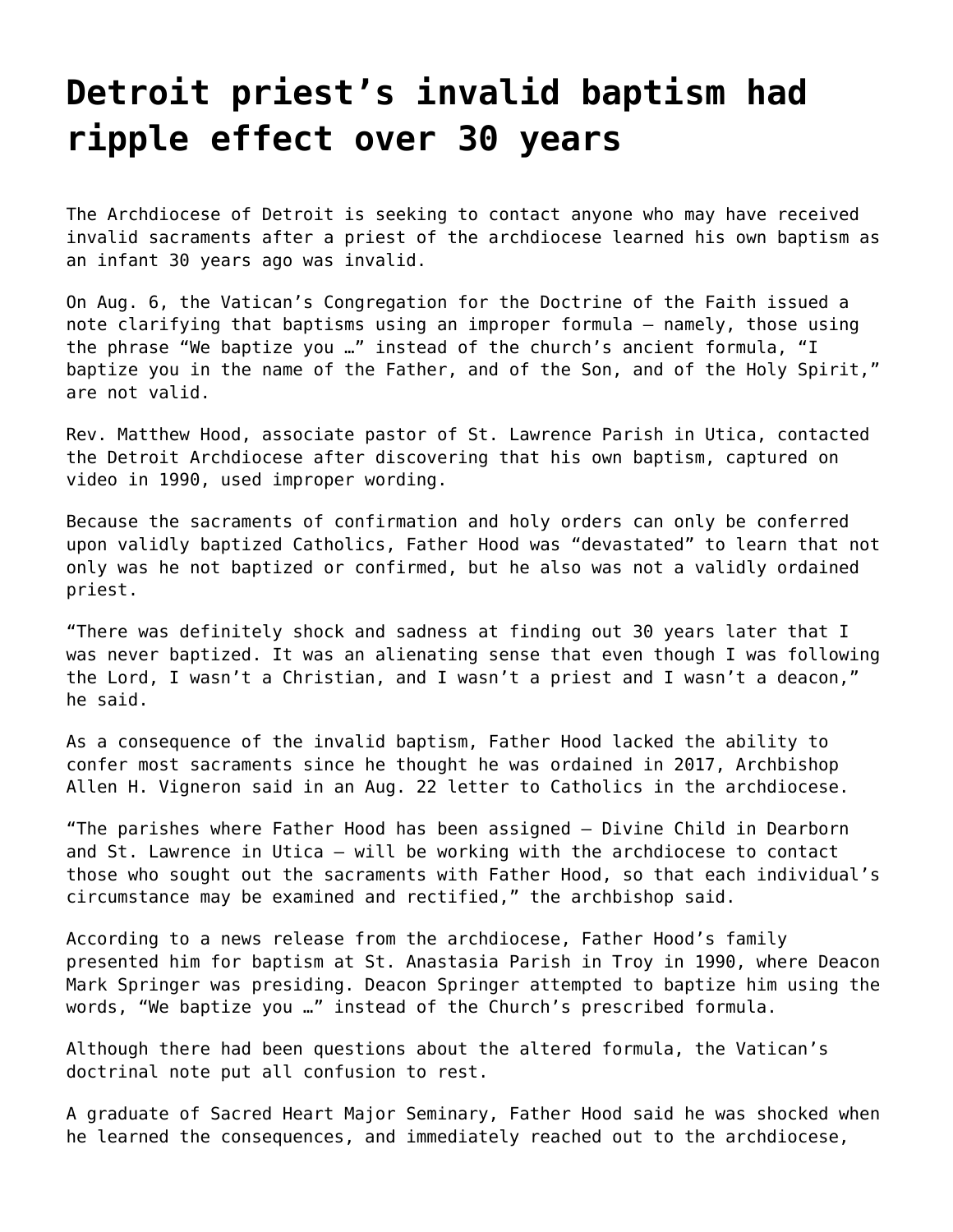## **[Detroit priest's invalid baptism had](https://grandinmedia.ca/detroit-priests-invalid-baptism-had-ripple-effect-over-30-years/) [ripple effect over 30 years](https://grandinmedia.ca/detroit-priests-invalid-baptism-had-ripple-effect-over-30-years/)**

The Archdiocese of Detroit is seeking to contact anyone who may have received invalid sacraments after a priest of the archdiocese learned his own baptism as an infant 30 years ago was invalid.

On Aug. 6, the Vatican's Congregation for the Doctrine of the Faith issued a note clarifying that [baptisms using an improper formula](https://grandinmedia.ca/vatican-says-baptisms-that-used-a-modified-formula-are-not-valid/) – namely, those using the phrase "We baptize you …" instead of the church's ancient formula, "I baptize you in the name of the Father, and of the Son, and of the Holy Spirit," are not valid.

Rev. Matthew Hood, associate pastor of St. Lawrence Parish in Utica, contacted the Detroit Archdiocese after discovering that his own baptism, captured on video in 1990, used improper wording.

Because the sacraments of confirmation and holy orders can only be conferred upon validly baptized Catholics, Father Hood was "devastated" to learn that not only was he not baptized or confirmed, but he also was not a validly ordained priest.

"There was definitely shock and sadness at finding out 30 years later that I was never baptized. It was an alienating sense that even though I was following the Lord, I wasn't a Christian, and I wasn't a priest and I wasn't a deacon," he said.

As a consequence of the invalid baptism, Father Hood lacked the ability to confer most sacraments since he thought he was ordained in 2017, Archbishop Allen H. Vigneron said in an Aug. 22 letter to Catholics in the archdiocese.

"The parishes where Father Hood has been assigned – Divine Child in Dearborn and St. Lawrence in Utica – will be working with the archdiocese to contact those who sought out the sacraments with Father Hood, so that each individual's circumstance may be examined and rectified," the archbishop said.

According to a news release from the archdiocese, Father Hood's family presented him for baptism at St. Anastasia Parish in Troy in 1990, where Deacon Mark Springer was presiding. Deacon Springer attempted to baptize him using the words, "We baptize you …" instead of the Church's prescribed formula.

Although there had been questions about the altered formula, the Vatican's doctrinal note put all confusion to rest.

A graduate of Sacred Heart Major Seminary, Father Hood said he was shocked when he learned the consequences, and immediately reached out to the archdiocese,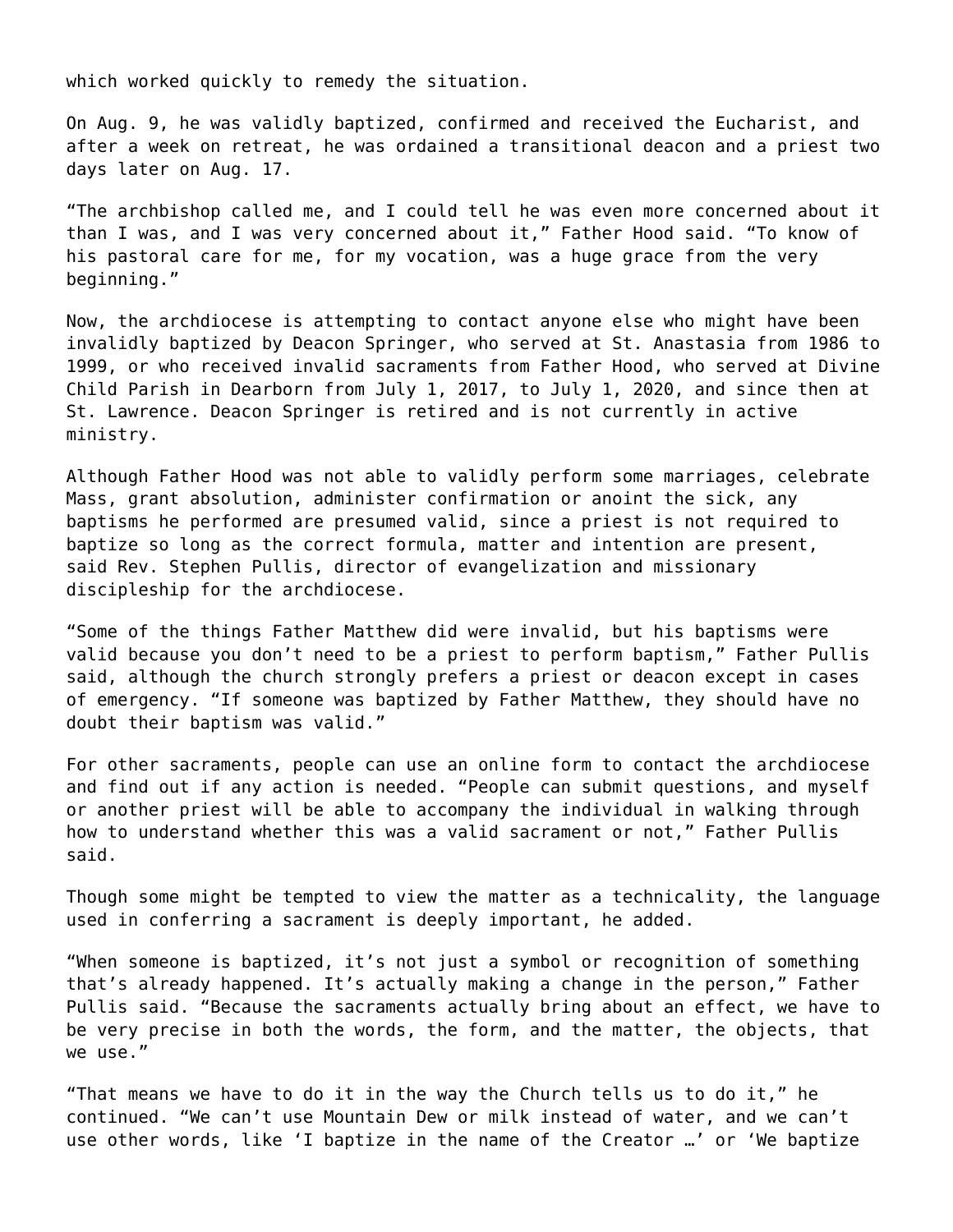which worked quickly to remedy the situation.

On Aug. 9, he was validly baptized, confirmed and received the Eucharist, and after a week on retreat, he was ordained a transitional deacon and a priest two days later on Aug. 17.

"The archbishop called me, and I could tell he was even more concerned about it than I was, and I was very concerned about it," Father Hood said. "To know of his pastoral care for me, for my vocation, was a huge grace from the very beginning."

Now, the archdiocese is attempting to contact anyone else who might have been invalidly baptized by Deacon Springer, who served at St. Anastasia from 1986 to 1999, or who received invalid sacraments from Father Hood, who served at Divine Child Parish in Dearborn from July 1, 2017, to July 1, 2020, and since then at St. Lawrence. Deacon Springer is retired and is not currently in active ministry.

Although Father Hood was not able to validly perform some marriages, celebrate Mass, grant absolution, administer confirmation or anoint the sick, any baptisms he performed are presumed valid, since a priest is not required to baptize so long as the correct formula, matter and intention are present, said Rev. Stephen Pullis, director of evangelization and missionary discipleship for the archdiocese.

"Some of the things Father Matthew did were invalid, but his baptisms were valid because you don't need to be a priest to perform baptism," Father Pullis said, although the church strongly prefers a priest or deacon except in cases of emergency. "If someone was baptized by Father Matthew, they should have no doubt their baptism was valid."

For other sacraments, people can use an online form to contact the archdiocese and find out if any action is needed. "People can submit questions, and myself or another priest will be able to accompany the individual in walking through how to understand whether this was a valid sacrament or not," Father Pullis said.

Though some might be tempted to view the matter as a technicality, the language used in conferring a sacrament is deeply important, he added.

"When someone is baptized, it's not just a symbol or recognition of something that's already happened. It's actually making a change in the person," Father Pullis said. "Because the sacraments actually bring about an effect, we have to be very precise in both the words, the form, and the matter, the objects, that we use."

"That means we have to do it in the way the Church tells us to do it," he continued. "We can't use Mountain Dew or milk instead of water, and we can't use other words, like 'I baptize in the name of the Creator …' or 'We baptize